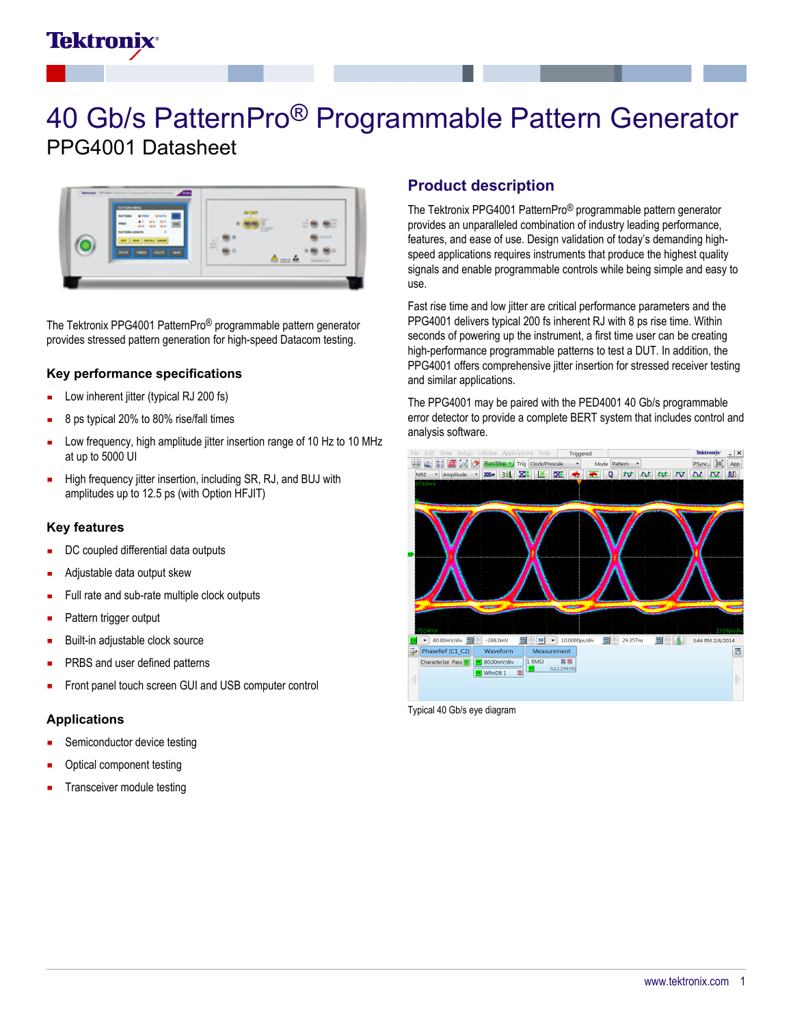

# 40 Gb/s PatternPro® Programmable Pattern Generator PPG4001 Datasheet



The Tektronix PPG4001 PatternPro® programmable pattern generator provides stressed pattern generation for high-speed Datacom testing.

#### **Key performance specifications**

- Low inherent jitter (typical RJ 200 fs)
- 8 ps typical 20% to 80% rise/fall times
- Low frequency, high amplitude jitter insertion range of 10 Hz to 10 MHz Ē. at up to 5000 UI
- High frequency jitter insertion, including SR, RJ, and BUJ with П amplitudes up to 12.5 ps (with Option HFJIT)

#### **Key features**

- DC coupled differential data outputs
- Adjustable data output skew
- Full rate and sub-rate multiple clock outputs
- Pattern trigger output
- Built-in adjustable clock source
- PRBS and user defined patterns
- Front panel touch screen GUI and USB computer control

#### **Applications**

- Semiconductor device testing
- Optical component testing
- Transceiver module testing

## **Product description**

The Tektronix PPG4001 PatternPro® programmable pattern generator provides an unparalleled combination of industry leading performance, features, and ease of use. Design validation of today's demanding highspeed applications requires instruments that produce the highest quality signals and enable programmable controls while being simple and easy to use.

Fast rise time and low jitter are critical performance parameters and the PPG4001 delivers typical 200 fs inherent RJ with 8 ps rise time. Within seconds of powering up the instrument, a first time user can be creating high-performance programmable patterns to test a DUT. In addition, the PPG4001 offers comprehensive jitter insertion for stressed receiver testing and similar applications.

The PPG4001 may be paired with the PED4001 40 Gb/s programmable error detector to provide a complete BERT system that includes control and analysis software.



Typical 40 Gb/s eye diagram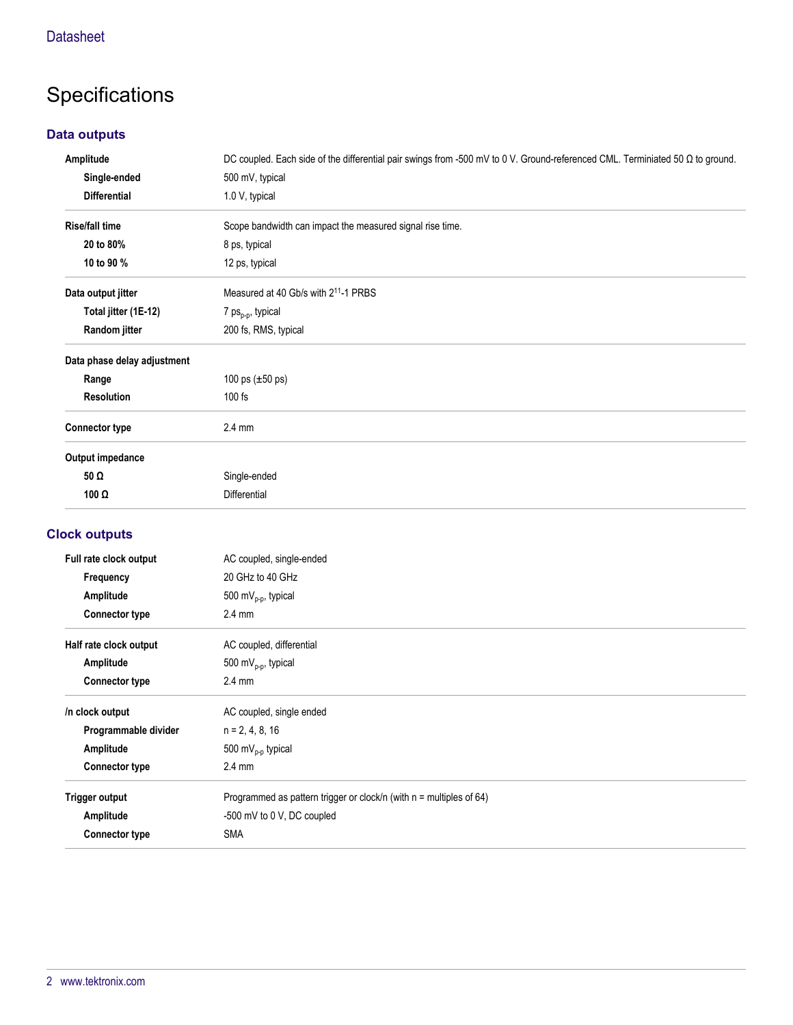# Specifications

## **Data outputs**

| Amplitude                   | DC coupled. Each side of the differential pair swings from -500 mV to 0 V. Ground-referenced CML. Terminiated 50 Ω to ground. |  |
|-----------------------------|-------------------------------------------------------------------------------------------------------------------------------|--|
| Single-ended                | 500 mV, typical                                                                                                               |  |
| <b>Differential</b>         | 1.0 V, typical                                                                                                                |  |
| <b>Rise/fall time</b>       | Scope bandwidth can impact the measured signal rise time.                                                                     |  |
| 20 to 80%                   | 8 ps, typical                                                                                                                 |  |
| 10 to 90 %                  | 12 ps, typical                                                                                                                |  |
| Data output jitter          | Measured at 40 Gb/s with 2 <sup>11</sup> -1 PRBS                                                                              |  |
| Total jitter (1E-12)        | 7 ps <sub>p-p</sub> , typical                                                                                                 |  |
| Random jitter               | 200 fs, RMS, typical                                                                                                          |  |
| Data phase delay adjustment |                                                                                                                               |  |
| Range                       | 100 ps $(\pm 50 \text{ ps})$                                                                                                  |  |
| <b>Resolution</b>           | $100$ fs                                                                                                                      |  |
| <b>Connector type</b>       | $2.4 \text{ mm}$                                                                                                              |  |
| Output impedance            |                                                                                                                               |  |
| $50\ \Omega$                | Single-ended                                                                                                                  |  |
| 100 $\Omega$                | <b>Differential</b>                                                                                                           |  |
|                             |                                                                                                                               |  |

# **Clock outputs**

| Full rate clock output | AC coupled, single-ended                                              |
|------------------------|-----------------------------------------------------------------------|
| Frequency              | 20 GHz to 40 GHz                                                      |
| Amplitude              | 500 m $V_{p-p}$ , typical                                             |
| <b>Connector type</b>  | $2.4 \text{ mm}$                                                      |
| Half rate clock output | AC coupled, differential                                              |
| Amplitude              | 500 m $V_{p-p}$ , typical                                             |
| <b>Connector type</b>  | $2.4 \text{ mm}$                                                      |
| In clock output        | AC coupled, single ended                                              |
| Programmable divider   | $n = 2, 4, 8, 16$                                                     |
| Amplitude              | 500 m $V_{p-p}$ typical                                               |
| <b>Connector type</b>  | $2.4 \text{ mm}$                                                      |
| <b>Trigger output</b>  | Programmed as pattern trigger or clock/n (with $n =$ multiples of 64) |
| Amplitude              | -500 mV to 0 V, DC coupled                                            |
| <b>Connector type</b>  | <b>SMA</b>                                                            |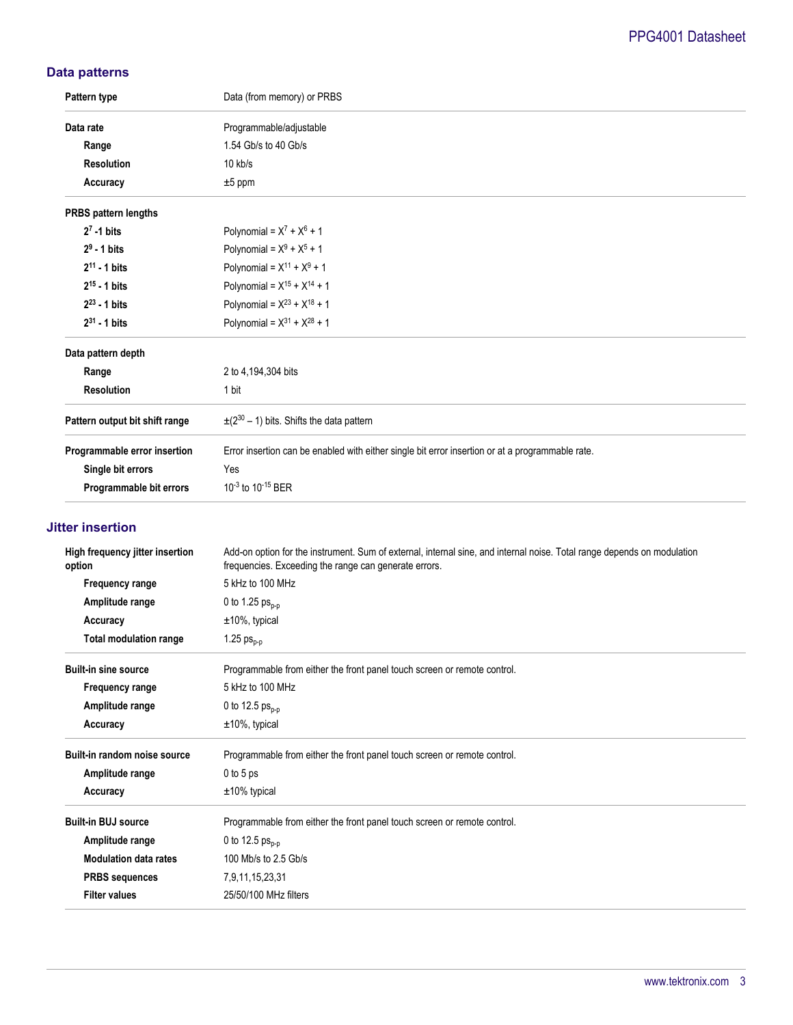# PPG4001 Datasheet

## **Data patterns**

| Pattern type                   | Data (from memory) or PRBS                                                                       |
|--------------------------------|--------------------------------------------------------------------------------------------------|
| Data rate                      | Programmable/adjustable                                                                          |
| Range                          | 1.54 Gb/s to 40 Gb/s                                                                             |
| <b>Resolution</b>              | $10$ kb/s                                                                                        |
| Accuracy                       | $±5$ ppm                                                                                         |
| PRBS pattern lengths           |                                                                                                  |
| $2^7 - 1$ bits                 | Polynomial = $X^7 + X^6 + 1$                                                                     |
| $2^9$ - 1 bits                 | Polynomial = $X^9 + X^5 + 1$                                                                     |
| $2^{11} - 1$ bits              | Polynomial = $X^{11} + X^9 + 1$                                                                  |
| $2^{15} - 1$ bits              | Polynomial = $X^{15} + X^{14} + 1$                                                               |
| $2^{23}$ - 1 bits              | Polynomial = $X^{23}$ + $X^{18}$ + 1                                                             |
| $2^{31} - 1$ bits              | Polynomial = $X^{31}$ + $X^{28}$ + 1                                                             |
| Data pattern depth             |                                                                                                  |
| Range                          | 2 to 4,194,304 bits                                                                              |
| <b>Resolution</b>              | 1 bit                                                                                            |
| Pattern output bit shift range | $\pm$ (2 <sup>30</sup> – 1) bits. Shifts the data pattern                                        |
| Programmable error insertion   | Error insertion can be enabled with either single bit error insertion or at a programmable rate. |
| Single bit errors              | Yes                                                                                              |
| Programmable bit errors        | 10-3 to 10-15 BER                                                                                |

### **Jitter insertion**

| High frequency jitter insertion<br>option | Add-on option for the instrument. Sum of external, internal sine, and internal noise. Total range depends on modulation<br>frequencies. Exceeding the range can generate errors. |
|-------------------------------------------|----------------------------------------------------------------------------------------------------------------------------------------------------------------------------------|
| Frequency range                           | 5 kHz to 100 MHz                                                                                                                                                                 |
| Amplitude range                           | 0 to 1.25 $ps_{p-p}$                                                                                                                                                             |
| Accuracy                                  | $±10\%$ , typical                                                                                                                                                                |
| <b>Total modulation range</b>             | 1.25 $ps_{p-p}$                                                                                                                                                                  |
| <b>Built-in sine source</b>               | Programmable from either the front panel touch screen or remote control.                                                                                                         |
| Frequency range                           | 5 kHz to 100 MHz                                                                                                                                                                 |
| Amplitude range                           | 0 to 12.5 $ps_{p-p}$                                                                                                                                                             |
| Accuracy                                  | $±10\%$ , typical                                                                                                                                                                |
| Built-in random noise source              | Programmable from either the front panel touch screen or remote control.                                                                                                         |
| Amplitude range                           | $0$ to 5 ps                                                                                                                                                                      |
| Accuracy                                  | $±10\%$ typical                                                                                                                                                                  |
| <b>Built-in BUJ source</b>                | Programmable from either the front panel touch screen or remote control.                                                                                                         |
| Amplitude range                           | 0 to 12.5 $ps_{p-p}$                                                                                                                                                             |
| <b>Modulation data rates</b>              | 100 Mb/s to 2.5 Gb/s                                                                                                                                                             |
| <b>PRBS</b> sequences                     | 7,9,11,15,23,31                                                                                                                                                                  |
| <b>Filter values</b>                      | 25/50/100 MHz filters                                                                                                                                                            |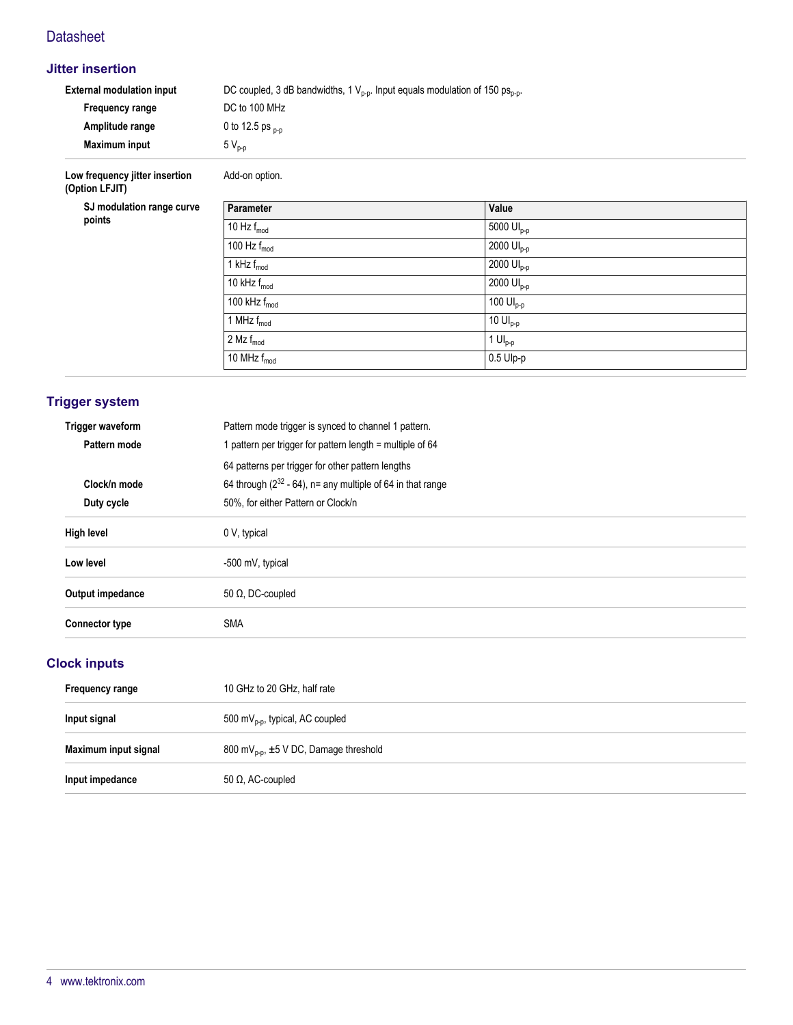## **Datasheet**

#### **Jitter insertion**

| <b>External modulation input</b> | DC coupled, 3 dB bandwidths, 1 $V_{n-n}$ . Input equals modulation of 150 ps <sub>n-n</sub> . |  |
|----------------------------------|-----------------------------------------------------------------------------------------------|--|
| <b>Frequency range</b>           | DC to 100 MHz                                                                                 |  |
| Amplitude range                  | 0 to 12.5 ps $_{\text{no}}$                                                                   |  |
| Maximum input                    | $5V_{p-p}$                                                                                    |  |

Add-on option.

#### **Low frequency jitter insertion (Option LFJIT)**

**SJ modulation range curve points**

| Parameter                                | Value                               |
|------------------------------------------|-------------------------------------|
| 10 Hz $f_{mod}$                          | 5000 UI <sub>p-p</sub>              |
| $100$ Hz $f_{mod}$                       | $\overline{2000}$ Ul <sub>p-p</sub> |
| 1 kHz $f_{mod}$                          | 2000 Ul <sub>p-p</sub>              |
| 10 kHz $f_{mod}$                         | $\overline{2000}$ Ul <sub>p-p</sub> |
| 100 kHz $f_{\text{mod}}$                 | $100$ Ul <sub>p-p</sub>             |
| $\sqrt{1}$ MHz f <sub>mod</sub>          | 10 $UI_{p-p}$                       |
| $2$ Mz $f_{mod}$                         | $1 \mathrm{UI}_{p-p}$               |
| $\sqrt{10 \text{ MHz}}$ f <sub>mod</sub> | $0.5$ Ulp-p                         |

# **Trigger system**

| Trigger waveform      | Pattern mode trigger is synced to channel 1 pattern.             |
|-----------------------|------------------------------------------------------------------|
| Pattern mode          | 1 pattern per trigger for pattern length $=$ multiple of 64      |
|                       | 64 patterns per trigger for other pattern lengths                |
| Clock/n mode          | 64 through $(2^{32} - 64)$ , n= any multiple of 64 in that range |
| Duty cycle            | 50%, for either Pattern or Clock/n                               |
| High level            | 0 V, typical                                                     |
| Low level             | -500 mV, typical                                                 |
| Output impedance      | $50 \Omega$ , DC-coupled                                         |
| <b>Connector type</b> | <b>SMA</b>                                                       |

## **Clock inputs**

| Frequency range      | 10 GHz to 20 GHz, half rate                            |
|----------------------|--------------------------------------------------------|
| Input signal         | 500 m $V_{p-p}$ , typical, AC coupled                  |
| Maximum input signal | 800 mV <sub>p-p</sub> , $\pm$ 5 V DC, Damage threshold |
| Input impedance      | 50 Ω, AC-coupled                                       |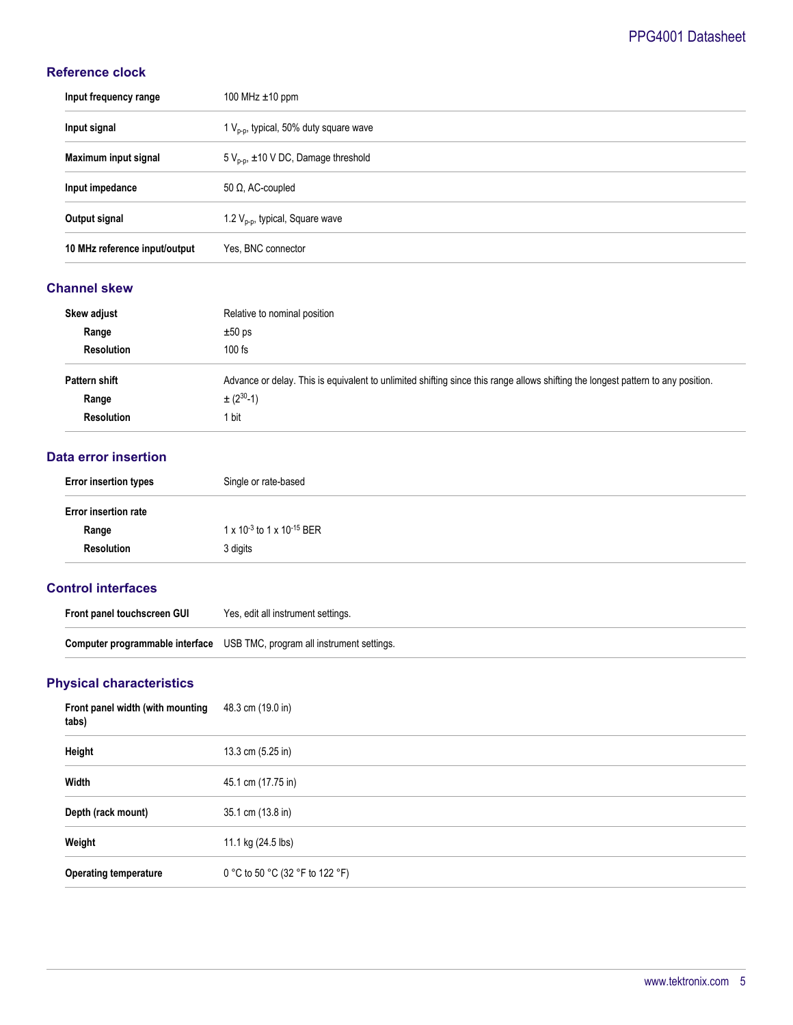# PPG4001 Datasheet

### **Reference clock**

| Input frequency range         | 100 MHz $\pm$ 10 ppm                          |
|-------------------------------|-----------------------------------------------|
| Input signal                  | 1 $V_{p-p}$ , typical, 50% duty square wave   |
| Maximum input signal          | 5 $V_{p-p}$ , $\pm 10$ V DC, Damage threshold |
| Input impedance               | $50 \Omega$ , AC-coupled                      |
| Output signal                 | 1.2 $V_{p-p}$ , typical, Square wave          |
| 10 MHz reference input/output | Yes. BNC connector                            |

#### **Channel skew**

| Skew adjust          | Relative to nominal position                                                                                                     |
|----------------------|----------------------------------------------------------------------------------------------------------------------------------|
| Range                | $±50$ ps                                                                                                                         |
| <b>Resolution</b>    | $100$ fs                                                                                                                         |
| <b>Pattern shift</b> | Advance or delay. This is equivalent to unlimited shifting since this range allows shifting the longest pattern to any position. |
| Range                | $\pm$ (2 <sup>30</sup> -1)                                                                                                       |
| <b>Resolution</b>    | 1 bit                                                                                                                            |

### **Data error insertion**

| <b>Error insertion types</b> | Single or rate-based                              |
|------------------------------|---------------------------------------------------|
| <b>Error insertion rate</b>  |                                                   |
| Range                        | 1 x 10 <sup>-3</sup> to 1 x 10 <sup>-15</sup> BER |
| <b>Resolution</b>            | 3 digits                                          |

#### **Control interfaces**

| Front panel touchscreen GUI | Yes, edit all instrument settings.                                               |
|-----------------------------|----------------------------------------------------------------------------------|
|                             | <b>Computer programmable interface</b> USB TMC, program all instrument settings. |

## **Physical characteristics**

| Front panel width (with mounting<br>tabs) | 48.3 cm (19.0 in)               |
|-------------------------------------------|---------------------------------|
| Height                                    | 13.3 cm (5.25 in)               |
| Width                                     | 45.1 cm (17.75 in)              |
| Depth (rack mount)                        | 35.1 cm (13.8 in)               |
| Weight                                    | 11.1 kg (24.5 lbs)              |
| <b>Operating temperature</b>              | 0 °C to 50 °C (32 °F to 122 °F) |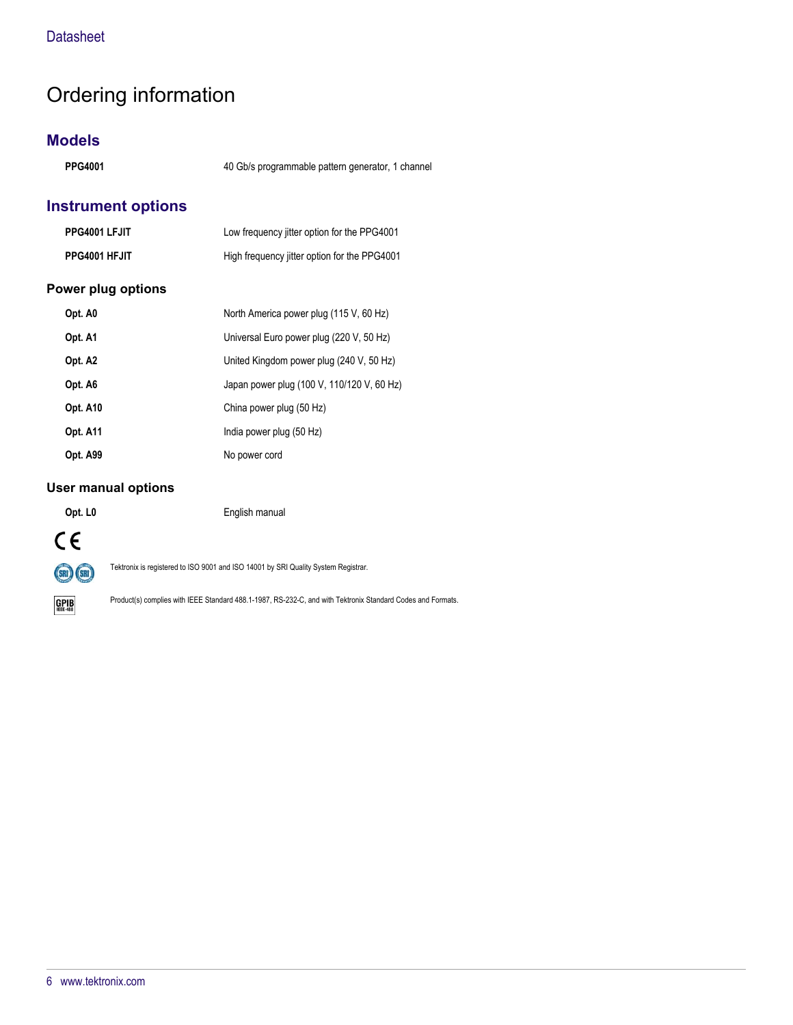# Ordering information

# **Models**

| <b>PPG4001</b> | 40 Gb/s programmable pattern generator, 1 channel |
|----------------|---------------------------------------------------|
|                |                                                   |

# **Instrument options**

| PPG4001 LFJIT | Low frequency jitter option for the PPG4001  |
|---------------|----------------------------------------------|
| PPG4001 HFJIT | High frequency jitter option for the PPG4001 |

### **Power plug options**

| Opt. A0         | North America power plug (115 V, 60 Hz)    |
|-----------------|--------------------------------------------|
| Opt. A1         | Universal Euro power plug (220 V, 50 Hz)   |
| Opt. A2         | United Kingdom power plug (240 V, 50 Hz)   |
| Opt. A6         | Japan power plug (100 V, 110/120 V, 60 Hz) |
| Opt. A10        | China power plug (50 Hz)                   |
| <b>Opt. A11</b> | India power plug (50 Hz)                   |
| <b>Opt. A99</b> | No power cord                              |

## **User manual options**



**Opt. L0** English manual



(SRI) (SRI)

Tektronix is registered to ISO 9001 and ISO 14001 by SRI Quality System Registrar.



Product(s) complies with IEEE Standard 488.1-1987, RS-232-C, and with Tektronix Standard Codes and Formats.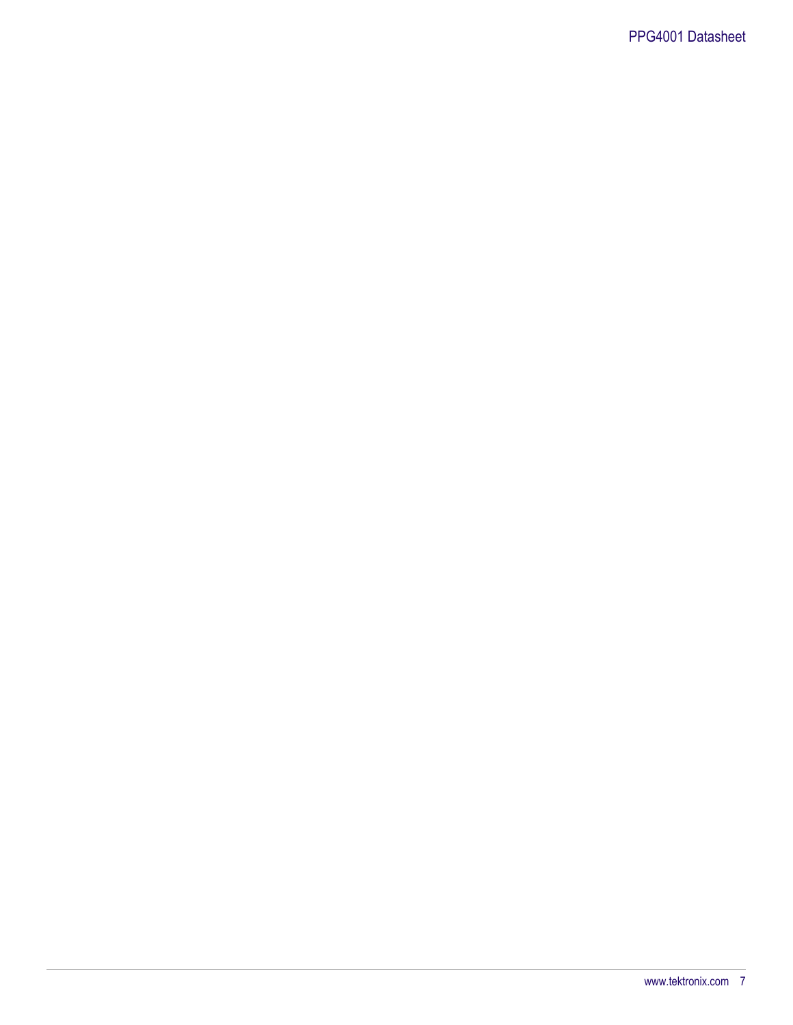PPG4001 Datasheet